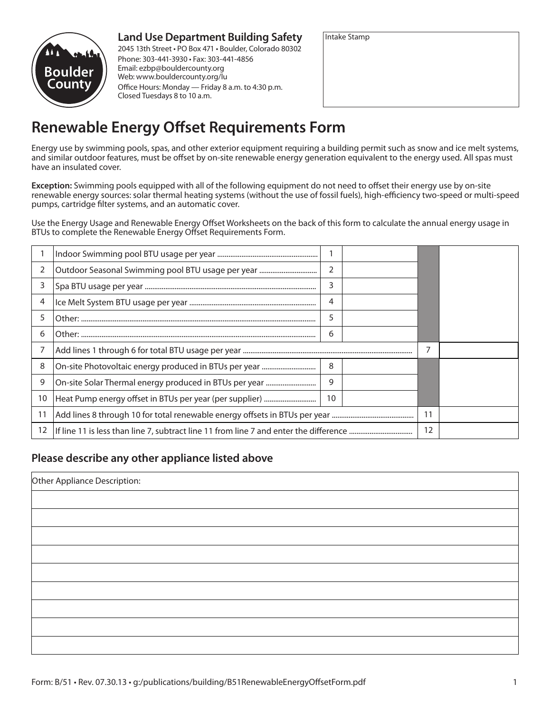# **Land Use Department Building Safety**



2045 13th Street • PO Box 471 • Boulder, Colorado 80302 Phone: 303-441-3930 • Fax: 303-441-4856 Email: ezbp@bouldercounty.org Web: www.bouldercounty.org/lu Office Hours: Monday — Friday 8 a.m. to 4:30 p.m. Closed Tuesdays 8 to 10 a.m.

| Intake Stamp |  |  |
|--------------|--|--|
|              |  |  |
|              |  |  |
|              |  |  |
|              |  |  |

# **Renewable Energy Offset Requirements Form**

Energy use by swimming pools, spas, and other exterior equipment requiring a building permit such as snow and ice melt systems, and similar outdoor features, must be offset by on-site renewable energy generation equivalent to the energy used. All spas must have an insulated cover.

**Exception:** Swimming pools equipped with all of the following equipment do not need to offset their energy use by on-site renewable energy sources: solar thermal heating systems (without the use of fossil fuels), high-efficiency two-speed or multi-speed pumps, cartridge filter systems, and an automatic cover.

Use the Energy Usage and Renewable Energy Offset Worksheets on the back of this form to calculate the annual energy usage in BTUs to complete the Renewable Energy Offset Requirements Form.

| 2  | Outdoor Seasonal Swimming pool BTU usage per year      | 2  |    |  |  |
|----|--------------------------------------------------------|----|----|--|--|
| 3  |                                                        | 3  |    |  |  |
| 4  |                                                        | 4  |    |  |  |
| 5  |                                                        | 5  |    |  |  |
| 6  |                                                        | 6  |    |  |  |
|    |                                                        |    |    |  |  |
| 8  | On-site Photovoltaic energy produced in BTUs per year  | 8  |    |  |  |
| 9  | On-site Solar Thermal energy produced in BTUs per year | 9  |    |  |  |
| 10 |                                                        | 10 |    |  |  |
| 11 |                                                        |    | 11 |  |  |
| 12 |                                                        |    | 12 |  |  |

# **Please describe any other appliance listed above**

| Other Appliance Description: |  |  |
|------------------------------|--|--|
|                              |  |  |
|                              |  |  |
|                              |  |  |
|                              |  |  |
|                              |  |  |
|                              |  |  |
|                              |  |  |
|                              |  |  |
|                              |  |  |